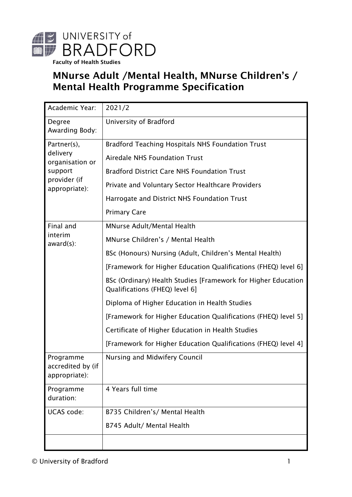

Faculty of Health Studies

# MNurse Adult /Mental Health, MNurse Children's / Mental Health Programme Specification

| Academic Year:                                  | 2021/2                                                                                          |
|-------------------------------------------------|-------------------------------------------------------------------------------------------------|
| Degree<br>Awarding Body:                        | University of Bradford                                                                          |
| Partner(s),                                     | <b>Bradford Teaching Hospitals NHS Foundation Trust</b>                                         |
| delivery<br>organisation or                     | Airedale NHS Foundation Trust                                                                   |
| support                                         | <b>Bradford District Care NHS Foundation Trust</b>                                              |
| provider (if<br>appropriate):                   | Private and Voluntary Sector Healthcare Providers                                               |
|                                                 | Harrogate and District NHS Foundation Trust                                                     |
|                                                 | <b>Primary Care</b>                                                                             |
| Final and                                       | <b>MNurse Adult/Mental Health</b>                                                               |
| interim<br>$award(s)$ :                         | MNurse Children's / Mental Health                                                               |
|                                                 | BSc (Honours) Nursing (Adult, Children's Mental Health)                                         |
|                                                 | [Framework for Higher Education Qualifications (FHEQ) level 6]                                  |
|                                                 | BSc (Ordinary) Health Studies [Framework for Higher Education<br>Qualifications (FHEQ) level 6] |
|                                                 | Diploma of Higher Education in Health Studies                                                   |
|                                                 | [Framework for Higher Education Qualifications (FHEQ) level 5]                                  |
|                                                 | Certificate of Higher Education in Health Studies                                               |
|                                                 | [Framework for Higher Education Qualifications (FHEQ) level 4]                                  |
| Programme<br>accredited by (if<br>appropriate): | Nursing and Midwifery Council                                                                   |
| Programme<br>duration:                          | 4 Years full time                                                                               |
| <b>UCAS</b> code:                               | B735 Children's/ Mental Health                                                                  |
|                                                 | B745 Adult/ Mental Health                                                                       |
|                                                 |                                                                                                 |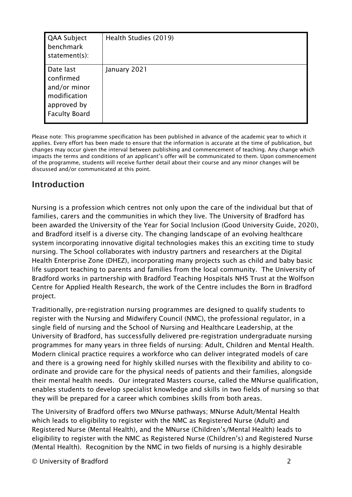| QAA Subject<br>benchmark<br>statement(s):                                                     | Health Studies (2019) |
|-----------------------------------------------------------------------------------------------|-----------------------|
| Date last<br>confirmed<br>and/or minor<br>modification<br>approved by<br><b>Faculty Board</b> | January 2021          |

Please note: This programme specification has been published in advance of the academic year to which it applies. Every effort has been made to ensure that the information is accurate at the time of publication, but changes may occur given the interval between publishing and commencement of teaching. Any change which impacts the terms and conditions of an applicant's offer will be communicated to them. Upon commencement of the programme, students will receive further detail about their course and any minor changes will be discussed and/or communicated at this point.

### Introduction

Nursing is a profession which centres not only upon the care of the individual but that of families, carers and the communities in which they live. The University of Bradford has been awarded the University of the Year for Social Inclusion (Good University Guide, 2020), and Bradford itself is a diverse city. The changing landscape of an evolving healthcare system incorporating innovative digital technologies makes this an exciting time to study nursing. The School collaborates with industry partners and researchers at the Digital Health Enterprise Zone (DHEZ), incorporating many projects such as child and baby basic life support teaching to parents and families from the local community. The University of Bradford works in partnership with Bradford Teaching Hospitals NHS Trust at the Wolfson Centre for Applied Health Research, the work of the Centre includes the Born in Bradford project.

Traditionally, pre-registration nursing programmes are designed to qualify students to register with the Nursing and Midwifery Council (NMC), the professional regulator, in a single field of nursing and the School of Nursing and Healthcare Leadership, at the University of Bradford, has successfully delivered pre-registration undergraduate nursing programmes for many years in three fields of nursing: Adult, Children and Mental Health. Modern clinical practice requires a workforce who can deliver integrated models of care and there is a growing need for highly skilled nurses with the flexibility and ability to coordinate and provide care for the physical needs of patients and their families, alongside their mental health needs. Our integrated Masters course, called the MNurse qualification, enables students to develop specialist knowledge and skills in two fields of nursing so that they will be prepared for a career which combines skills from both areas.

The University of Bradford offers two MNurse pathways; MNurse Adult/Mental Health which leads to eligibility to register with the NMC as Registered Nurse (Adult) and Registered Nurse (Mental Health), and the MNurse (Children's/Mental Health) leads to eligibility to register with the NMC as Registered Nurse (Children's) and Registered Nurse (Mental Health). Recognition by the NMC in two fields of nursing is a highly desirable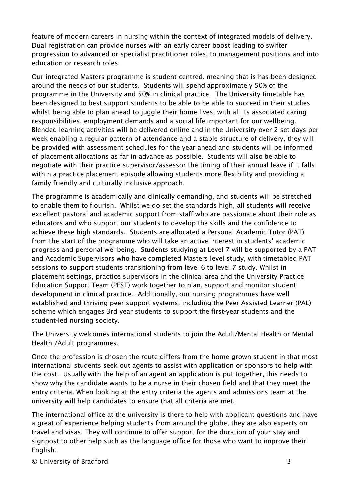feature of modern careers in nursing within the context of integrated models of delivery. Dual registration can provide nurses with an early career boost leading to swifter progression to advanced or specialist practitioner roles, to management positions and into education or research roles.

Our integrated Masters programme is student-centred, meaning that is has been designed around the needs of our students. Students will spend approximately 50% of the programme in the University and 50% in clinical practice. The University timetable has been designed to best support students to be able to be able to succeed in their studies whilst being able to plan ahead to juggle their home lives, with all its associated caring responsibilities, employment demands and a social life important for our wellbeing. Blended learning activities will be delivered online and in the University over 2 set days per week enabling a regular pattern of attendance and a stable structure of delivery, they will be provided with assessment schedules for the year ahead and students will be informed of placement allocations as far in advance as possible. Students will also be able to negotiate with their practice supervisor/assessor the timing of their annual leave if it falls within a practice placement episode allowing students more flexibility and providing a family friendly and culturally inclusive approach.

The programme is academically and clinically demanding, and students will be stretched to enable them to flourish. Whilst we do set the standards high, all students will receive excellent pastoral and academic support from staff who are passionate about their role as educators and who support our students to develop the skills and the confidence to achieve these high standards. Students are allocated a Personal Academic Tutor (PAT) from the start of the programme who will take an active interest in students' academic progress and personal wellbeing. Students studying at Level 7 will be supported by a PAT and Academic Supervisors who have completed Masters level study, with timetabled PAT sessions to support students transitioning from level 6 to level 7 study. Whilst in placement settings, practice supervisors in the clinical area and the University Practice Education Support Team (PEST) work together to plan, support and monitor student development in clinical practice. Additionally, our nursing programmes have well established and thriving peer support systems, including the Peer Assisted Learner (PAL) scheme which engages 3rd year students to support the first-year students and the student-led nursing society.

The University welcomes international students to join the Adult/Mental Health or Mental Health /Adult programmes.

Once the profession is chosen the route differs from the home-grown student in that most international students seek out agents to assist with application or sponsors to help with the cost. Usually with the help of an agent an application is put together, this needs to show why the candidate wants to be a nurse in their chosen field and that they meet the entry criteria. When looking at the entry criteria the agents and admissions team at the university will help candidates to ensure that all criteria are met.

The international office at the university is there to help with applicant questions and have a great of experience helping students from around the globe, they are also experts on travel and visas. They will continue to offer support for the duration of your stay and signpost to other help such as the language office for those who want to improve their English.

© University of Bradford 3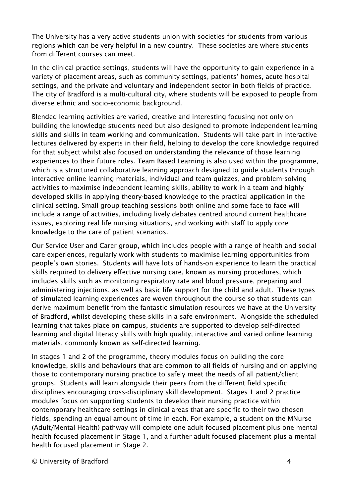The University has a very active students union with societies for students from various regions which can be very helpful in a new country. These societies are where students from different courses can meet.

In the clinical practice settings, students will have the opportunity to gain experience in a variety of placement areas, such as community settings, patients' homes, acute hospital settings, and the private and voluntary and independent sector in both fields of practice. The city of Bradford is a multi-cultural city, where students will be exposed to people from diverse ethnic and socio-economic background.

Blended learning activities are varied, creative and interesting focusing not only on building the knowledge students need but also designed to promote independent learning skills and skills in team working and communication. Students will take part in interactive lectures delivered by experts in their field, helping to develop the core knowledge required for that subject whilst also focused on understanding the relevance of those learning experiences to their future roles. Team Based Learning is also used within the programme, which is a structured collaborative learning approach designed to guide students through interactive online learning materials, individual and team quizzes, and problem-solving activities to maximise independent learning skills, ability to work in a team and highly developed skills in applying theory-based knowledge to the practical application in the clinical setting. Small group teaching sessions both online and some face to face will include a range of activities, including lively debates centred around current healthcare issues, exploring real life nursing situations, and working with staff to apply core knowledge to the care of patient scenarios.

Our Service User and Carer group, which includes people with a range of health and social care experiences, regularly work with students to maximise learning opportunities from people's own stories. Students will have lots of hands-on experience to learn the practical skills required to delivery effective nursing care, known as nursing procedures, which includes skills such as monitoring respiratory rate and blood pressure, preparing and administering injections, as well as basic life support for the child and adult. These types of simulated learning experiences are woven throughout the course so that students can derive maximum benefit from the fantastic simulation resources we have at the University of Bradford, whilst developing these skills in a safe environment. Alongside the scheduled learning that takes place on campus, students are supported to develop self-directed learning and digital literacy skills with high quality, interactive and varied online learning materials, commonly known as self-directed learning.

In stages 1 and 2 of the programme, theory modules focus on building the core knowledge, skills and behaviours that are common to all fields of nursing and on applying those to contemporary nursing practice to safely meet the needs of all patient/client groups. Students will learn alongside their peers from the different field specific disciplines encouraging cross-disciplinary skill development. Stages 1 and 2 practice modules focus on supporting students to develop their nursing practice within contemporary healthcare settings in clinical areas that are specific to their two chosen fields, spending an equal amount of time in each. For example, a student on the MNurse (Adult/Mental Health) pathway will complete one adult focused placement plus one mental health focused placement in Stage 1, and a further adult focused placement plus a mental health focused placement in Stage 2.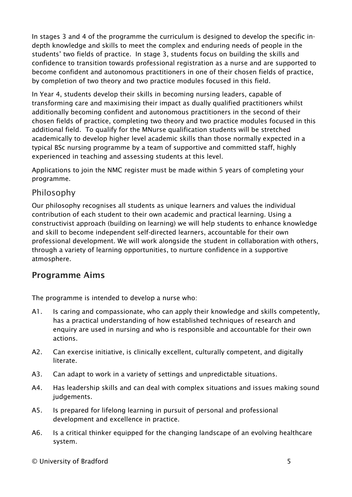In stages 3 and 4 of the programme the curriculum is designed to develop the specific indepth knowledge and skills to meet the complex and enduring needs of people in the students' two fields of practice. In stage 3, students focus on building the skills and confidence to transition towards professional registration as a nurse and are supported to become confident and autonomous practitioners in one of their chosen fields of practice, by completion of two theory and two practice modules focused in this field.

In Year 4, students develop their skills in becoming nursing leaders, capable of transforming care and maximising their impact as dually qualified practitioners whilst additionally becoming confident and autonomous practitioners in the second of their chosen fields of practice, completing two theory and two practice modules focused in this additional field. To qualify for the MNurse qualification students will be stretched academically to develop higher level academic skills than those normally expected in a typical BSc nursing programme by a team of supportive and committed staff, highly experienced in teaching and assessing students at this level.

Applications to join the NMC register must be made within 5 years of completing your programme.

### Philosophy

Our philosophy recognises all students as unique learners and values the individual contribution of each student to their own academic and practical learning. Using a constructivist approach (building on learning) we will help students to enhance knowledge and skill to become independent self-directed learners, accountable for their own professional development. We will work alongside the student in collaboration with others, through a variety of learning opportunities, to nurture confidence in a supportive atmosphere.

### Programme Aims

The programme is intended to develop a nurse who:

- A1. Is caring and compassionate, who can apply their knowledge and skills competently, has a practical understanding of how established techniques of research and enquiry are used in nursing and who is responsible and accountable for their own actions.
- A2. Can exercise initiative, is clinically excellent, culturally competent, and digitally literate.
- A3. Can adapt to work in a variety of settings and unpredictable situations.
- A4. Has leadership skills and can deal with complex situations and issues making sound judgements.
- A5. Is prepared for lifelong learning in pursuit of personal and professional development and excellence in practice.
- A6. Is a critical thinker equipped for the changing landscape of an evolving healthcare system.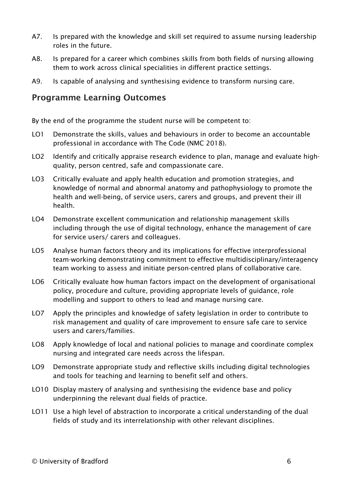- A7. Is prepared with the knowledge and skill set required to assume nursing leadership roles in the future.
- A8. Is prepared for a career which combines skills from both fields of nursing allowing them to work across clinical specialities in different practice settings.
- A9. Is capable of analysing and synthesising evidence to transform nursing care.

#### Programme Learning Outcomes

By the end of the programme the student nurse will be competent to:

- LO1 Demonstrate the skills, values and behaviours in order to become an accountable professional in accordance with The Code (NMC 2018).
- LO2 Identify and critically appraise research evidence to plan, manage and evaluate highquality, person centred, safe and compassionate care.
- LO3 Critically evaluate and apply health education and promotion strategies, and knowledge of normal and abnormal anatomy and pathophysiology to promote the health and well-being, of service users, carers and groups, and prevent their ill health.
- LO4 Demonstrate excellent communication and relationship management skills including through the use of digital technology, enhance the management of care for service users/ carers and colleagues.
- LO5 Analyse human factors theory and its implications for effective interprofessional team-working demonstrating commitment to effective multidisciplinary/interagency team working to assess and initiate person-centred plans of collaborative care.
- LO6 Critically evaluate how human factors impact on the development of organisational policy, procedure and culture, providing appropriate levels of guidance, role modelling and support to others to lead and manage nursing care.
- LO7 Apply the principles and knowledge of safety legislation in order to contribute to risk management and quality of care improvement to ensure safe care to service users and carers/families.
- LO8 Apply knowledge of local and national policies to manage and coordinate complex nursing and integrated care needs across the lifespan.
- LO9 Demonstrate appropriate study and reflective skills including digital technologies and tools for teaching and learning to benefit self and others.
- LO10 Display mastery of analysing and synthesising the evidence base and policy underpinning the relevant dual fields of practice.
- LO11 Use a high level of abstraction to incorporate a critical understanding of the dual fields of study and its interrelationship with other relevant disciplines.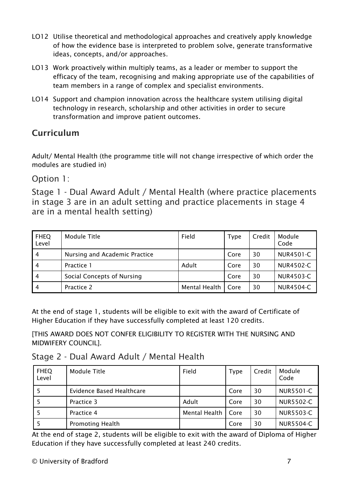- LO12 Utilise theoretical and methodological approaches and creatively apply knowledge of how the evidence base is interpreted to problem solve, generate transformative ideas, concepts, and/or approaches.
- LO13 Work proactively within multiply teams, as a leader or member to support the efficacy of the team, recognising and making appropriate use of the capabilities of team members in a range of complex and specialist environments.
- LO14 Support and champion innovation across the healthcare system utilising digital technology in research, scholarship and other activities in order to secure transformation and improve patient outcomes.

# Curriculum

Adult/ Mental Health (the programme title will not change irrespective of which order the modules are studied in)

Option 1:

Stage 1 - Dual Award Adult / Mental Health (where practice placements in stage 3 are in an adult setting and practice placements in stage 4 are in a mental health setting)

| <b>FHEQ</b><br>Level | Module Title                  | Field         | <b>Type</b> | Credit | Module<br>Code   |
|----------------------|-------------------------------|---------------|-------------|--------|------------------|
| $\overline{4}$       | Nursing and Academic Practice |               | Core        | 30     | <b>NUR4501-C</b> |
| 4                    | Practice 1                    | Adult         | Core        | 30     | <b>NUR4502-C</b> |
| $\overline{4}$       | Social Concepts of Nursing    |               | Core        | 30     | <b>NUR4503-C</b> |
| 4                    | Practice 2                    | Mental Health | Core        | 30     | <b>NUR4504-C</b> |

At the end of stage 1, students will be eligible to exit with the award of Certificate of Higher Education if they have successfully completed at least 120 credits.

[THIS AWARD DOES NOT CONFER ELIGIBILITY TO REGISTER WITH THE NURSING AND MIDWIFERY COUNCIL].

### Stage 2 - Dual Award Adult / Mental Health

| <b>FHEQ</b><br>Level | Module Title              | Field         | <b>Type</b> | Credit | Module<br>Code   |
|----------------------|---------------------------|---------------|-------------|--------|------------------|
|                      | Evidence Based Healthcare |               | Core        | 30     | <b>NUR5501-C</b> |
|                      | Practice 3                | Adult         | Core        | 30     | <b>NUR5502-C</b> |
|                      | Practice 4                | Mental Health | Core        | 30     | <b>NUR5503-C</b> |
|                      | <b>Promoting Health</b>   |               | Core        | 30     | NUR5504-C        |

At the end of stage 2, students will be eligible to exit with the award of Diploma of Higher Education if they have successfully completed at least 240 credits.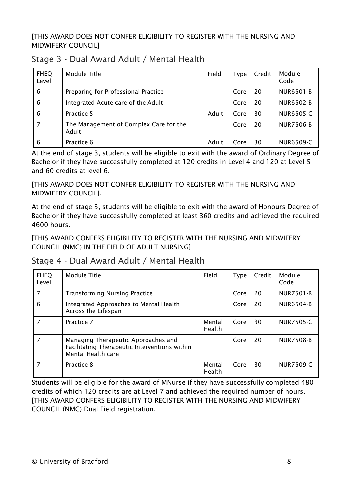#### [THIS AWARD DOES NOT CONFER ELIGIBILITY TO REGISTER WITH THE NURSING AND MIDWIFERY COUNCIL]

| <b>FHEQ</b><br>Level | Module Title                                    | Field | <b>Type</b> | Credit | Module<br>Code   |
|----------------------|-------------------------------------------------|-------|-------------|--------|------------------|
| 6                    | Preparing for Professional Practice             |       | Core        | 20     | <b>NUR6501-B</b> |
| 6                    | Integrated Acute care of the Adult              |       | Core        | 20     | <b>NUR6502-B</b> |
| 6                    | Practice 5                                      | Adult | Core        | 30     | <b>NUR6505-C</b> |
| 7                    | The Management of Complex Care for the<br>Adult |       | Core        | 20     | <b>NUR7506-B</b> |
| 6                    | Practice 6                                      | Adult | Core        | 30     | <b>NUR6509-C</b> |

### Stage 3 - Dual Award Adult / Mental Health

At the end of stage 3, students will be eligible to exit with the award of Ordinary Degree of Bachelor if they have successfully completed at 120 credits in Level 4 and 120 at Level 5 and 60 credits at level 6.

[THIS AWARD DOES NOT CONFER ELIGIBILITY TO REGISTER WITH THE NURSING AND MIDWIFERY COUNCIL].

At the end of stage 3, students will be eligible to exit with the award of Honours Degree of Bachelor if they have successfully completed at least 360 credits and achieved the required 4600 hours.

[THIS AWARD CONFERS ELIGIBILITY TO REGISTER WITH THE NURSING AND MIDWIFERY COUNCIL (NMC) IN THE FIELD OF ADULT NURSING]

Stage 4 - Dual Award Adult / Mental Health

| <b>FHEQ</b><br>Level | Module Title                                                                                               | Field                   | <b>Type</b> | Credit | Module<br>Code   |
|----------------------|------------------------------------------------------------------------------------------------------------|-------------------------|-------------|--------|------------------|
| 7                    | <b>Transforming Nursing Practice</b>                                                                       |                         | Core        | 20     | <b>NUR7501-B</b> |
| 6                    | Integrated Approaches to Mental Health<br>Across the Lifespan                                              |                         | Core        | 20     | <b>NUR6504-B</b> |
|                      | Practice 7                                                                                                 | Mental<br>Health        | Core        | 30     | NUR7505-C        |
| 7                    | Managing Therapeutic Approaches and<br>Facilitating Therapeutic Interventions within<br>Mental Health care |                         | Core        | 20     | <b>NUR7508-B</b> |
|                      | Practice 8                                                                                                 | Mental<br><b>Health</b> | Core        | 30     | <b>NUR7509-C</b> |

Students will be eligible for the award of MNurse if they have successfully completed 480 credits of which 120 credits are at Level 7 and achieved the required number of hours. [THIS AWARD CONFERS ELIGIBILITY TO REGISTER WITH THE NURSING AND MIDWIFERY COUNCIL (NMC) Dual Field registration.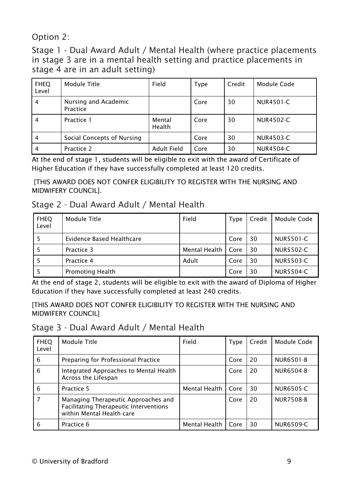Option 2:

Stage 1 - Dual Award Adult / Mental Health (where practice placements in stage 3 are in a mental health setting and practice placements in stage 4 are in an adult setting)

| <b>FHEQ</b><br>Level | Module Title                     | Field              | Type | Credit | Module Code      |
|----------------------|----------------------------------|--------------------|------|--------|------------------|
| 4                    | Nursing and Academic<br>Practice |                    | Core | 30     | NUR4501-C        |
| 4                    | Practice 1                       | Mental<br>Health   | Core | 30     | NUR4502-C        |
| 4                    | Social Concepts of Nursing       |                    | Core | 30     | NUR4503-C        |
| 4                    | Practice 2                       | <b>Adult Field</b> | Core | 30     | <b>NUR4504-C</b> |

At the end of stage 1, students will be eligible to exit with the award of Certificate of Higher Education if they have successfully completed at least 120 credits.

[THIS AWARD DOES NOT CONFER ELIGIBILITY TO REGISTER WITH THE NURSING AND MIDWIFERY COUNCIL].

### Stage 2 - Dual Award Adult / Mental Health

| <b>FHEQ</b><br>Level | <b>Module Title</b>       | Field         | <b>Type</b> | Credit | Module Code      |
|----------------------|---------------------------|---------------|-------------|--------|------------------|
|                      | Evidence Based Healthcare |               | Core        | 30     | NUR5501-C        |
|                      | Practice 3                | Mental Health | Core        | 30     | <b>NUR5502-C</b> |
|                      | Practice 4                | Adult         | Core        | 30     | NUR5503-C        |
|                      | <b>Promoting Health</b>   |               | Core        | 30     | NUR5504-C        |

At the end of stage 2, students will be eligible to exit with the award of Diploma of Higher Education if they have successfully completed at least 240 credits.

[THIS AWARD DOES NOT CONFER ELIGIBILITY TO REGISTER WITH THE NURSING AND MIDWIFERY COUNCIL]

|  | Stage 3 - Dual Award Adult / Mental Health |  |
|--|--------------------------------------------|--|
|--|--------------------------------------------|--|

| <b>FHEQ</b><br>Level | Module Title                                                                                                      | Field         | Type | Credit | Module Code      |
|----------------------|-------------------------------------------------------------------------------------------------------------------|---------------|------|--------|------------------|
| 6                    | Preparing for Professional Practice                                                                               |               | Core | 20     | <b>NUR6501-B</b> |
| 6                    | Integrated Approaches to Mental Health<br>Across the Lifespan                                                     |               | Core | 20     | <b>NUR6504-B</b> |
| 6                    | Practice 5                                                                                                        | Mental Health | Core | 30     | <b>NUR6505-C</b> |
| 7                    | Managing Therapeutic Approaches and<br><b>Facilitating Therapeutic Interventions</b><br>within Mental Health care |               | Core | 20     | NUR7508-B        |
| 6                    | Practice 6                                                                                                        | Mental Health | Core | 30     | <b>NUR6509-C</b> |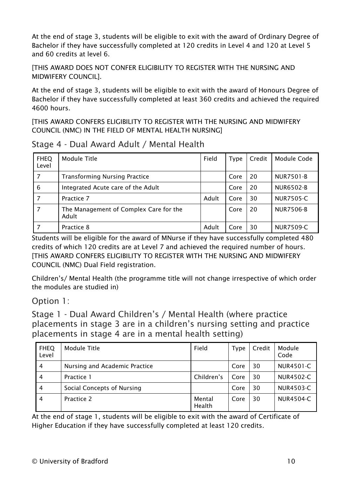At the end of stage 3, students will be eligible to exit with the award of Ordinary Degree of Bachelor if they have successfully completed at 120 credits in Level 4 and 120 at Level 5 and 60 credits at level 6.

[THIS AWARD DOES NOT CONFER ELIGIBILITY TO REGISTER WITH THE NURSING AND MIDWIFERY COUNCIL].

At the end of stage 3, students will be eligible to exit with the award of Honours Degree of Bachelor if they have successfully completed at least 360 credits and achieved the required 4600 hours.

[THIS AWARD CONFERS ELIGIBILITY TO REGISTER WITH THE NURSING AND MIDWIFERY COUNCIL (NMC) IN THE FIELD OF MENTAL HEALTH NURSING]

| <b>FHEQ</b><br>Level | Module Title                                    | Field | <b>Type</b> | Credit | Module Code      |
|----------------------|-------------------------------------------------|-------|-------------|--------|------------------|
| 7                    | <b>Transforming Nursing Practice</b>            |       | Core        | 20     | <b>NUR7501-B</b> |
| 6                    | Integrated Acute care of the Adult              |       | Core        | 20     | <b>NUR6502-B</b> |
|                      | Practice 7                                      | Adult | Core        | 30     | <b>NUR7505-C</b> |
|                      | The Management of Complex Care for the<br>Adult |       | Core        | 20     | <b>NUR7506-B</b> |
|                      | Practice 8                                      | Adult | Core        | 30     | <b>NUR7509-C</b> |

Stage 4 - Dual Award Adult / Mental Health

Students will be eligible for the award of MNurse if they have successfully completed 480 credits of which 120 credits are at Level 7 and achieved the required number of hours. [THIS AWARD CONFERS ELIGIBILITY TO REGISTER WITH THE NURSING AND MIDWIFERY COUNCIL (NMC) Dual Field registration.

Children's/ Mental Health (the programme title will not change irrespective of which order the modules are studied in)

### Option 1:

Stage 1 - Dual Award Children's / Mental Health (where practice placements in stage 3 are in a children's nursing setting and practice placements in stage 4 are in a mental health setting)

| <b>FHEQ</b><br>Level | Module Title                  | Field            | Type | Credit | Module<br>Code   |
|----------------------|-------------------------------|------------------|------|--------|------------------|
| 4                    | Nursing and Academic Practice |                  | Core | 30     | <b>NUR4501-C</b> |
| 4                    | Practice 1                    | Children's       | Core | 30     | <b>NUR4502-C</b> |
| 4                    | Social Concepts of Nursing    |                  | Core | 30     | <b>NUR4503-C</b> |
| $\overline{4}$       | Practice 2                    | Mental<br>Health | Core | 30     | <b>NUR4504-C</b> |

At the end of stage 1, students will be eligible to exit with the award of Certificate of Higher Education if they have successfully completed at least 120 credits.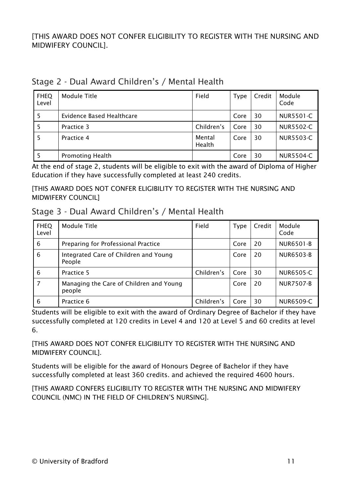[THIS AWARD DOES NOT CONFER ELIGIBILITY TO REGISTER WITH THE NURSING AND MIDWIFERY COUNCIL].

| <b>FHEQ</b><br>Level | Module Title              | Field            | <b>Type</b> | Credit | Module<br>Code   |
|----------------------|---------------------------|------------------|-------------|--------|------------------|
| 5                    | Evidence Based Healthcare |                  | Core        | 30     | <b>NUR5501-C</b> |
| 5                    | Practice 3                | Children's       | Core        | 30     | <b>NUR5502-C</b> |
| 5                    | Practice 4                | Mental<br>Health | Core        | 30     | NUR5503-C        |
| 5                    | <b>Promoting Health</b>   |                  | Core        | 30     | <b>NUR5504-C</b> |

### Stage 2 - Dual Award Children's / Mental Health

At the end of stage 2, students will be eligible to exit with the award of Diploma of Higher Education if they have successfully completed at least 240 credits.

[THIS AWARD DOES NOT CONFER ELIGIBILITY TO REGISTER WITH THE NURSING AND MIDWIFERY COUNCIL]

|  |  |  |  | Stage 3 - Dual Award Children's / Mental Health |  |  |  |
|--|--|--|--|-------------------------------------------------|--|--|--|
|--|--|--|--|-------------------------------------------------|--|--|--|

| <b>FHEQ</b><br>Level | Module Title                                      | Field      | <b>Type</b> | Credit | Module<br>Code   |
|----------------------|---------------------------------------------------|------------|-------------|--------|------------------|
| 6                    | Preparing for Professional Practice               |            | Core        | 20     | <b>NUR6501-B</b> |
| 6                    | Integrated Care of Children and Young<br>People   |            | Core        | 20     | <b>NUR6503-B</b> |
| 6                    | Practice 5                                        | Children's | Core        | 30     | <b>NUR6505-C</b> |
| 7                    | Managing the Care of Children and Young<br>people |            | Core        | 20     | NUR7507-B        |
| 6                    | Practice 6                                        | Children's | Core        | 30     | <b>NUR6509-C</b> |

Students will be eligible to exit with the award of Ordinary Degree of Bachelor if they have successfully completed at 120 credits in Level 4 and 120 at Level 5 and 60 credits at level 6.

[THIS AWARD DOES NOT CONFER ELIGIBILITY TO REGISTER WITH THE NURSING AND MIDWIFERY COUNCIL].

Students will be eligible for the award of Honours Degree of Bachelor if they have successfully completed at least 360 credits. and achieved the required 4600 hours.

[THIS AWARD CONFERS ELIGIBILITY TO REGISTER WITH THE NURSING AND MIDWIFERY COUNCIL (NMC) IN THE FIELD OF CHILDREN'S NURSING].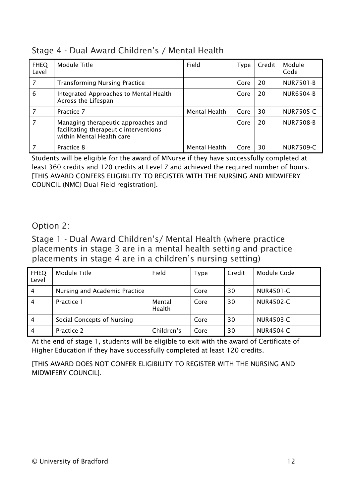|  | Stage 4 - Dual Award Children's / Mental Health |  |  |
|--|-------------------------------------------------|--|--|
|--|-------------------------------------------------|--|--|

| <b>FHEQ</b><br>Level | Module Title                                                                                               | Field         | <b>Type</b> | Credit | Module<br>Code   |
|----------------------|------------------------------------------------------------------------------------------------------------|---------------|-------------|--------|------------------|
| 7                    | <b>Transforming Nursing Practice</b>                                                                       |               | Core        | 20     | <b>NUR7501-B</b> |
| 6                    | Integrated Approaches to Mental Health<br>Across the Lifespan                                              |               | Core        | 20     | <b>NUR6504-B</b> |
| 7                    | Practice 7                                                                                                 | Mental Health | Core        | 30     | <b>NUR7505-C</b> |
| 7                    | Managing therapeutic approaches and<br>facilitating therapeutic interventions<br>within Mental Health care |               | Core        | 20     | <b>NUR7508-B</b> |
|                      | Practice 8                                                                                                 | Mental Health | Core        | 30     | <b>NUR7509-C</b> |

Students will be eligible for the award of MNurse if they have successfully completed at least 360 credits and 120 credits at Level 7 and achieved the required number of hours. [THIS AWARD CONFERS ELIGIBILITY TO REGISTER WITH THE NURSING AND MIDWIFERY COUNCIL (NMC) Dual Field registration].

#### Option 2:

Stage 1 - Dual Award Children's/ Mental Health (where practice placements in stage 3 are in a mental health setting and practice placements in stage 4 are in a children's nursing setting)

| <b>FHEQ</b><br>Level | <b>Module Title</b>           | Field            | Type | Credit | Module Code |
|----------------------|-------------------------------|------------------|------|--------|-------------|
| 4                    | Nursing and Academic Practice |                  | Core | 30     | NUR4501-C   |
| $\overline{4}$       | Practice 1                    | Mental<br>Health | Core | 30     | NUR4502-C   |
| 4                    | Social Concepts of Nursing    |                  | Core | 30     | NUR4503-C   |
| 4                    | Practice 2                    | Children's       | Core | 30     | NUR4504-C   |

At the end of stage 1, students will be eligible to exit with the award of Certificate of Higher Education if they have successfully completed at least 120 credits.

[THIS AWARD DOES NOT CONFER ELIGIBILITY TO REGISTER WITH THE NURSING AND MIDWIFERY COUNCIL].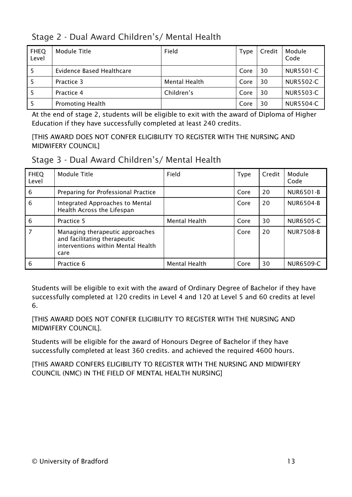Stage 2 - Dual Award Children's/ Mental Health

| <b>FHEQ</b><br>Level | Module Title              | Field         | Type | Credit | Module<br>Code   |
|----------------------|---------------------------|---------------|------|--------|------------------|
|                      | Evidence Based Healthcare |               | Core | 30     | <b>NUR5501-C</b> |
|                      | Practice 3                | Mental Health | Core | 30     | <b>NUR5502-C</b> |
|                      | Practice 4                | Children's    | Core | 30     | <b>NUR5503-C</b> |
|                      | <b>Promoting Health</b>   |               | Core | 30     | NUR5504-C        |

At the end of stage 2, students will be eligible to exit with the award of Diploma of Higher Education if they have successfully completed at least 240 credits.

[THIS AWARD DOES NOT CONFER ELIGIBILITY TO REGISTER WITH THE NURSING AND MIDWIFERY COUNCIL]

| <b>FHEQ</b><br>Level | Module Title                                                                                                  | Field         | <b>Type</b> | Credit | Module<br>Code   |
|----------------------|---------------------------------------------------------------------------------------------------------------|---------------|-------------|--------|------------------|
| 6                    | Preparing for Professional Practice                                                                           |               | Core        | 20     | NUR6501-B        |
| 6                    | Integrated Approaches to Mental<br>Health Across the Lifespan                                                 |               | Core        | 20     | <b>NUR6504-B</b> |
| 6                    | Practice 5                                                                                                    | Mental Health | Core        | 30     | NUR6505-C        |
| 7                    | Managing therapeutic approaches<br>and facilitating therapeutic<br>interventions within Mental Health<br>care |               | Core        | 20     | <b>NUR7508-B</b> |
| 6                    | Practice 6                                                                                                    | Mental Health | Core        | 30     | <b>NUR6509-C</b> |

Students will be eligible to exit with the award of Ordinary Degree of Bachelor if they have successfully completed at 120 credits in Level 4 and 120 at Level 5 and 60 credits at level 6.

[THIS AWARD DOES NOT CONFER ELIGIBILITY TO REGISTER WITH THE NURSING AND MIDWIFERY COUNCIL].

Students will be eligible for the award of Honours Degree of Bachelor if they have successfully completed at least 360 credits. and achieved the required 4600 hours.

[THIS AWARD CONFERS ELIGIBILITY TO REGISTER WITH THE NURSING AND MIDWIFERY COUNCIL (NMC) IN THE FIELD OF MENTAL HEALTH NURSING]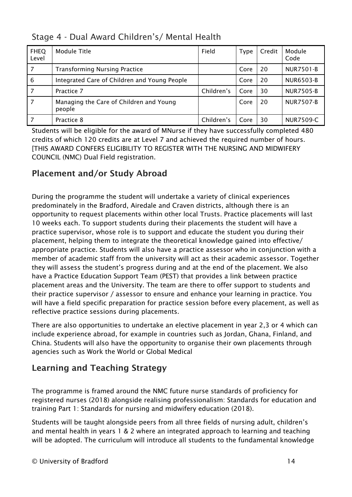Stage 4 - Dual Award Children's/ Mental Health

| <b>FHEQ</b><br>Level | Module Title                                      | Field      | <b>Type</b> | Credit | Module<br>Code   |
|----------------------|---------------------------------------------------|------------|-------------|--------|------------------|
| 7                    | <b>Transforming Nursing Practice</b>              |            | Core        | 20     | <b>NUR7501-B</b> |
| 6                    | Integrated Care of Children and Young People      |            | Core        | 20     | <b>NUR6503-B</b> |
| 7                    | Practice 7                                        | Children's | Core        | 30     | <b>NUR7505-B</b> |
| 7                    | Managing the Care of Children and Young<br>people |            | Core        | 20     | <b>NUR7507-B</b> |
|                      | Practice 8                                        | Children's | Core        | 30     | <b>NUR7509-C</b> |

Students will be eligible for the award of MNurse if they have successfully completed 480 credits of which 120 credits are at Level 7 and achieved the required number of hours. [THIS AWARD CONFERS ELIGIBILITY TO REGISTER WITH THE NURSING AND MIDWIFERY COUNCIL (NMC) Dual Field registration.

### Placement and/or Study Abroad

During the programme the student will undertake a variety of clinical experiences predominately in the Bradford, Airedale and Craven districts, although there is an opportunity to request placements within other local Trusts. Practice placements will last 10 weeks each. To support students during their placements the student will have a practice supervisor, whose role is to support and educate the student you during their placement, helping them to integrate the theoretical knowledge gained into effective/ appropriate practice. Students will also have a practice assessor who in conjunction with a member of academic staff from the university will act as their academic assessor. Together they will assess the student's progress during and at the end of the placement. We also have a Practice Education Support Team (PEST) that provides a link between practice placement areas and the University. The team are there to offer support to students and their practice supervisor / assessor to ensure and enhance your learning in practice. You will have a field specific preparation for practice session before every placement, as well as reflective practice sessions during placements.

There are also opportunities to undertake an elective placement in year 2,3 or 4 which can include experience abroad, for example in countries such as Jordan, Ghana, Finland, and China. Students will also have the opportunity to organise their own placements through agencies such as Work the World or Global Medical

# Learning and Teaching Strategy

The programme is framed around the NMC future nurse standards of proficiency for registered nurses (2018) alongside realising professionalism: Standards for education and training Part 1: Standards for nursing and midwifery education (2018).

Students will be taught alongside peers from all three fields of nursing adult, children's and mental health in years 1 & 2 where an integrated approach to learning and teaching will be adopted. The curriculum will introduce all students to the fundamental knowledge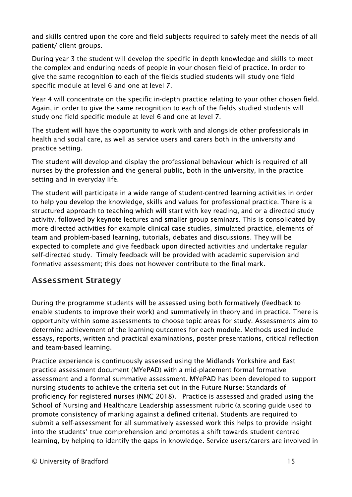and skills centred upon the core and field subjects required to safely meet the needs of all patient/ client groups.

During year 3 the student will develop the specific in-depth knowledge and skills to meet the complex and enduring needs of people in your chosen field of practice. In order to give the same recognition to each of the fields studied students will study one field specific module at level 6 and one at level 7.

Year 4 will concentrate on the specific in-depth practice relating to your other chosen field. Again, in order to give the same recognition to each of the fields studied students will study one field specific module at level 6 and one at level 7.

The student will have the opportunity to work with and alongside other professionals in health and social care, as well as service users and carers both in the university and practice setting.

The student will develop and display the professional behaviour which is required of all nurses by the profession and the general public, both in the university, in the practice setting and in everyday life.

The student will participate in a wide range of student-centred learning activities in order to help you develop the knowledge, skills and values for professional practice. There is a structured approach to teaching which will start with key reading, and or a directed study activity, followed by keynote lectures and smaller group seminars. This is consolidated by more directed activities for example clinical case studies, simulated practice, elements of team and problem-based learning, tutorials, debates and discussions. They will be expected to complete and give feedback upon directed activities and undertake regular self-directed study. Timely feedback will be provided with academic supervision and formative assessment; this does not however contribute to the final mark.

#### Assessment Strategy

During the programme students will be assessed using both formatively (feedback to enable students to improve their work) and summatively in theory and in practice. There is opportunity within some assessments to choose topic areas for study. Assessments aim to determine achievement of the learning outcomes for each module. Methods used include essays, reports, written and practical examinations, poster presentations, critical reflection and team-based learning.

Practice experience is continuously assessed using the Midlands Yorkshire and East practice assessment document (MYePAD) with a mid-placement formal formative assessment and a formal summative assessment. MYePAD has been developed to support nursing students to achieve the criteria set out in the Future Nurse: Standards of proficiency for registered nurses (NMC 2018). Practice is assessed and graded using the School of Nursing and Healthcare Leadership assessment rubric (a scoring guide used to promote consistency of marking against a defined criteria). Students are required to submit a self-assessment for all summatively assessed work this helps to provide insight into the students' true comprehension and promotes a shift towards student centred learning, by helping to identify the gaps in knowledge. Service users/carers are involved in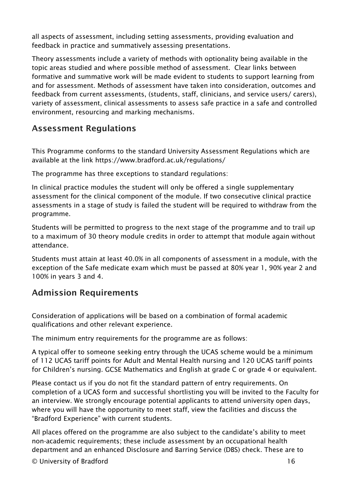all aspects of assessment, including setting assessments, providing evaluation and feedback in practice and summatively assessing presentations.

Theory assessments include a variety of methods with optionality being available in the topic areas studied and where possible method of assessment. Clear links between formative and summative work will be made evident to students to support learning from and for assessment. Methods of assessment have taken into consideration, outcomes and feedback from current assessments, (students, staff, clinicians, and service users/ carers), variety of assessment, clinical assessments to assess safe practice in a safe and controlled environment, resourcing and marking mechanisms.

### Assessment Regulations

This Programme conforms to the standard University Assessment Regulations which are available at the link<https://www.bradford.ac.uk/regulations/>

The programme has three exceptions to standard regulations:

In clinical practice modules the student will only be offered a single supplementary assessment for the clinical component of the module. If two consecutive clinical practice assessments in a stage of study is failed the student will be required to withdraw from the programme.

Students will be permitted to progress to the next stage of the programme and to trail up to a maximum of 30 theory module credits in order to attempt that module again without attendance.

Students must attain at least 40.0% in all components of assessment in a module, with the exception of the Safe medicate exam which must be passed at 80% year 1, 90% year 2 and 100% in years 3 and 4.

### Admission Requirements

Consideration of applications will be based on a combination of formal academic qualifications and other relevant experience.

The minimum entry requirements for the programme are as follows:

A typical offer to someone seeking entry through the UCAS scheme would be a minimum of 112 UCAS tariff points for Adult and Mental Health nursing and 120 UCAS tariff points for Children's nursing. GCSE Mathematics and English at grade C or grade 4 or equivalent.

Please contact us if you do not fit the standard pattern of entry requirements. On completion of a UCAS form and successful shortlisting you will be invited to the Faculty for an interview. We strongly encourage potential applicants to attend university open days, where you will have the opportunity to meet staff, view the facilities and discuss the "Bradford Experience" with current students.

All places offered on the programme are also subject to the candidate's ability to meet non-academic requirements; these include assessment by an occupational health department and an enhanced Disclosure and Barring Service (DBS) check. These are to

© University of Bradford 16